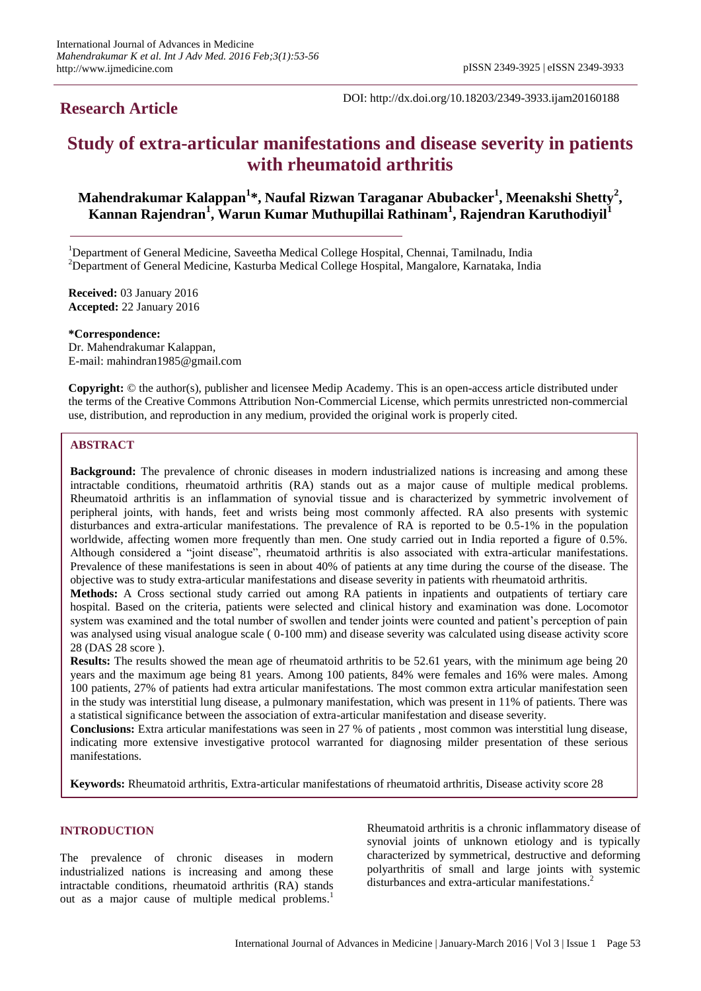# **Research Article**

DOI: http://dx.doi.org/10.18203/2349-3933.ijam20160188

# **Study of extra-articular manifestations and disease severity in patients with rheumatoid arthritis**

# **Mahendrakumar Kalappan<sup>1</sup> \*, Naufal Rizwan Taraganar Abubacker<sup>1</sup> , Meenakshi Shetty<sup>2</sup> , Kannan Rajendran<sup>1</sup> , Warun Kumar Muthupillai Rathinam<sup>1</sup> , Rajendran Karuthodiyil<sup>1</sup>**

<sup>1</sup>Department of General Medicine, Saveetha Medical College Hospital, Chennai, Tamilnadu, India <sup>2</sup>Department of General Medicine, Kasturba Medical College Hospital, Mangalore, Karnataka, India

**Received:** 03 January 2016 **Accepted:** 22 January 2016

**\*Correspondence:** Dr. Mahendrakumar Kalappan, E-mail: mahindran1985@gmail.com

**Copyright:** © the author(s), publisher and licensee Medip Academy. This is an open-access article distributed under the terms of the Creative Commons Attribution Non-Commercial License, which permits unrestricted non-commercial use, distribution, and reproduction in any medium, provided the original work is properly cited.

# **ABSTRACT**

**Background:** The prevalence of chronic diseases in modern industrialized nations is increasing and among these intractable conditions, rheumatoid arthritis (RA) stands out as a major cause of multiple medical problems. Rheumatoid arthritis is an inflammation of synovial tissue and is characterized by symmetric involvement of peripheral joints, with hands, feet and wrists being most commonly affected. RA also presents with systemic disturbances and extra-articular manifestations. The prevalence of RA is reported to be 0.5-1% in the population worldwide, affecting women more frequently than men. One study carried out in India reported a figure of 0.5%. Although considered a "joint disease", rheumatoid arthritis is also associated with extra-articular manifestations. Prevalence of these manifestations is seen in about 40% of patients at any time during the course of the disease. The objective was to study extra-articular manifestations and disease severity in patients with rheumatoid arthritis.

**Methods:** A Cross sectional study carried out among RA patients in inpatients and outpatients of tertiary care hospital. Based on the criteria, patients were selected and clinical history and examination was done. Locomotor system was examined and the total number of swollen and tender joints were counted and patient"s perception of pain was analysed using visual analogue scale (0-100 mm) and disease severity was calculated using disease activity score 28 (DAS 28 score ).

**Results:** The results showed the mean age of rheumatoid arthritis to be 52.61 years, with the minimum age being 20 years and the maximum age being 81 years. Among 100 patients, 84% were females and 16% were males. Among 100 patients, 27% of patients had extra articular manifestations. The most common extra articular manifestation seen in the study was interstitial lung disease, a pulmonary manifestation, which was present in 11% of patients. There was a statistical significance between the association of extra-articular manifestation and disease severity.

**Conclusions:** Extra articular manifestations was seen in 27 % of patients , most common was interstitial lung disease, indicating more extensive investigative protocol warranted for diagnosing milder presentation of these serious manifestations.

**Keywords:** Rheumatoid arthritis, Extra-articular manifestations of rheumatoid arthritis, Disease activity score 28

# **INTRODUCTION**

The prevalence of chronic diseases in modern industrialized nations is increasing and among these intractable conditions, rheumatoid arthritis (RA) stands out as a major cause of multiple medical problems.<sup>1</sup>

Rheumatoid arthritis is a chronic inflammatory disease of synovial joints of unknown etiology and is typically characterized by symmetrical, destructive and deforming polyarthritis of small and large joints with systemic disturbances and extra-articular manifestations.<sup>2</sup>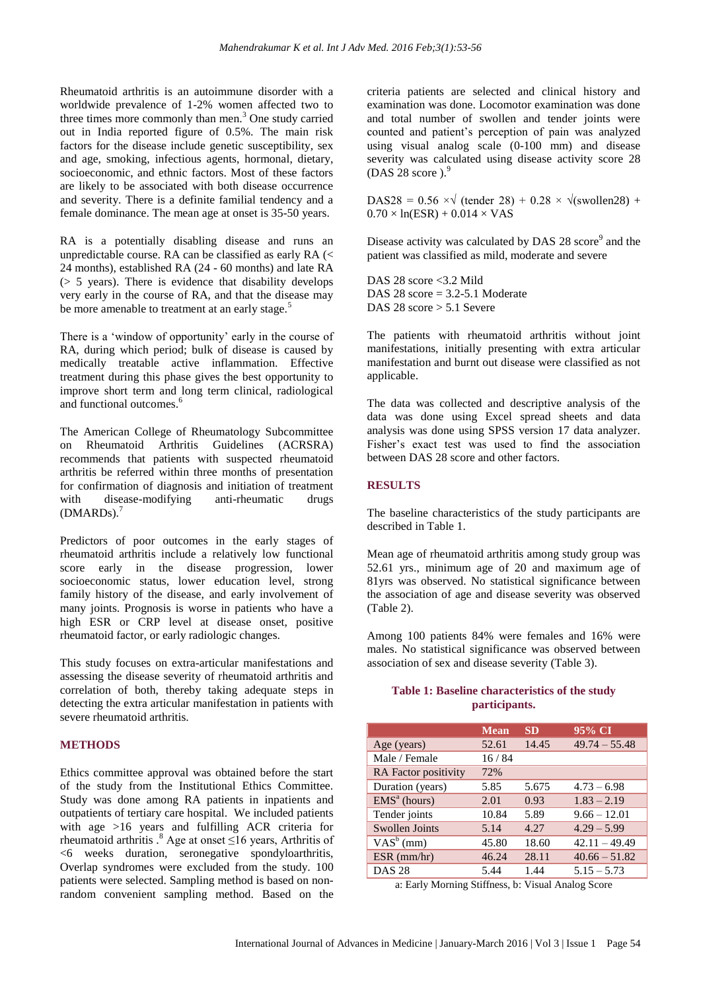Rheumatoid arthritis is an autoimmune disorder with a worldwide prevalence of 1-2% women affected two to three times more commonly than men.<sup>3</sup> One study carried out in India reported figure of 0.5%. The main risk factors for the disease include genetic susceptibility, sex and age, smoking, infectious agents, hormonal, dietary, socioeconomic, and ethnic factors. Most of these factors are likely to be associated with both disease occurrence and severity. There is a definite familial tendency and a female dominance. The mean age at onset is 35-50 years.

RA is a potentially disabling disease and runs an unpredictable course. RA can be classified as early RA (< 24 months), established RA (24 - 60 months) and late RA (> 5 years). There is evidence that disability develops very early in the course of RA, and that the disease may be more amenable to treatment at an early stage.<sup>5</sup>

There is a 'window of opportunity' early in the course of RA, during which period; bulk of disease is caused by medically treatable active inflammation. Effective treatment during this phase gives the best opportunity to improve short term and long term clinical, radiological and functional outcomes. $\frac{6}{3}$ 

The American College of Rheumatology Subcommittee on Rheumatoid Arthritis Guidelines (ACRSRA) recommends that patients with suspected rheumatoid arthritis be referred within three months of presentation for confirmation of diagnosis and initiation of treatment with disease-modifying anti-rheumatic drugs (DMARDs).<sup>7</sup>

Predictors of poor outcomes in the early stages of rheumatoid arthritis include a relatively low functional score early in the disease progression, lower socioeconomic status, lower education level, strong family history of the disease, and early involvement of many joints. Prognosis is worse in patients who have a high ESR or CRP level at disease onset, positive rheumatoid factor, or early radiologic changes.

This study focuses on extra-articular manifestations and assessing the disease severity of rheumatoid arthritis and correlation of both, thereby taking adequate steps in detecting the extra articular manifestation in patients with severe rheumatoid arthritis.

#### **METHODS**

Ethics committee approval was obtained before the start of the study from the Institutional Ethics Committee. Study was done among RA patients in inpatients and outpatients of tertiary care hospital. We included patients with age >16 years and fulfilling ACR criteria for rheumatoid arthritis  $.8$  Age at onset ≤16 years, Arthritis of <6 weeks duration, seronegative spondyloarthritis, Overlap syndromes were excluded from the study. 100 patients were selected. Sampling method is based on nonrandom convenient sampling method. Based on the criteria patients are selected and clinical history and examination was done. Locomotor examination was done and total number of swollen and tender joints were counted and patient"s perception of pain was analyzed using visual analog scale (0-100 mm) and disease severity was calculated using disease activity score 28 (DAS 28 score). $9$ 

DAS28 = 0.56  $\times \sqrt{\text{(tender 28) + 0.28 \times \sqrt{\text{(swollen28) + 0.28 \times \text{``t}}}}$  $0.70 \times \ln(\text{ESR}) + 0.014 \times \text{VAS}$ 

Disease activity was calculated by DAS 28 score<sup>9</sup> and the patient was classified as mild, moderate and severe

DAS 28 score <3.2 Mild DAS 28 score  $= 3.2 - 5.1$  Moderate DAS 28 score > 5.1 Severe

The patients with rheumatoid arthritis without joint manifestations, initially presenting with extra articular manifestation and burnt out disease were classified as not applicable.

The data was collected and descriptive analysis of the data was done using Excel spread sheets and data analysis was done using SPSS version 17 data analyzer. Fisher's exact test was used to find the association between DAS 28 score and other factors.

# **RESULTS**

The baseline characteristics of the study participants are described in Table 1.

Mean age of rheumatoid arthritis among study group was 52.61 yrs., minimum age of 20 and maximum age of 81yrs was observed. No statistical significance between the association of age and disease severity was observed (Table 2).

Among 100 patients 84% were females and 16% were males. No statistical significance was observed between association of sex and disease severity (Table 3).

### **Table 1: Baseline characteristics of the study participants.**

|                             | <b>Mean</b> | <b>SD</b> | 95% CI          |
|-----------------------------|-------------|-----------|-----------------|
| Age (years)                 | 52.61       | 14.45     | $49.74 - 55.48$ |
| Male / Female               | 16/84       |           |                 |
| <b>RA</b> Factor positivity | 72%         |           |                 |
| Duration (years)            | 5.85        | 5.675     | $4.73 - 6.98$   |
| $EMSa$ (hours)              | 2.01        | 0.93      | $1.83 - 2.19$   |
| Tender joints               | 10.84       | 5.89      | $9.66 - 12.01$  |
| <b>Swollen Joints</b>       | 5.14        | 4.27      | $4.29 - 5.99$   |
| $VAS^b$ (mm)                | 45.80       | 18.60     | $42.11 - 49.49$ |
| $ESR$ (mm/hr)               | 46.24       | 28.11     | $40.66 - 51.82$ |
| <b>DAS 28</b>               | 5.44        | 1.44      | $5.15 - 5.73$   |

a: Early Morning Stiffness, b: Visual Analog Score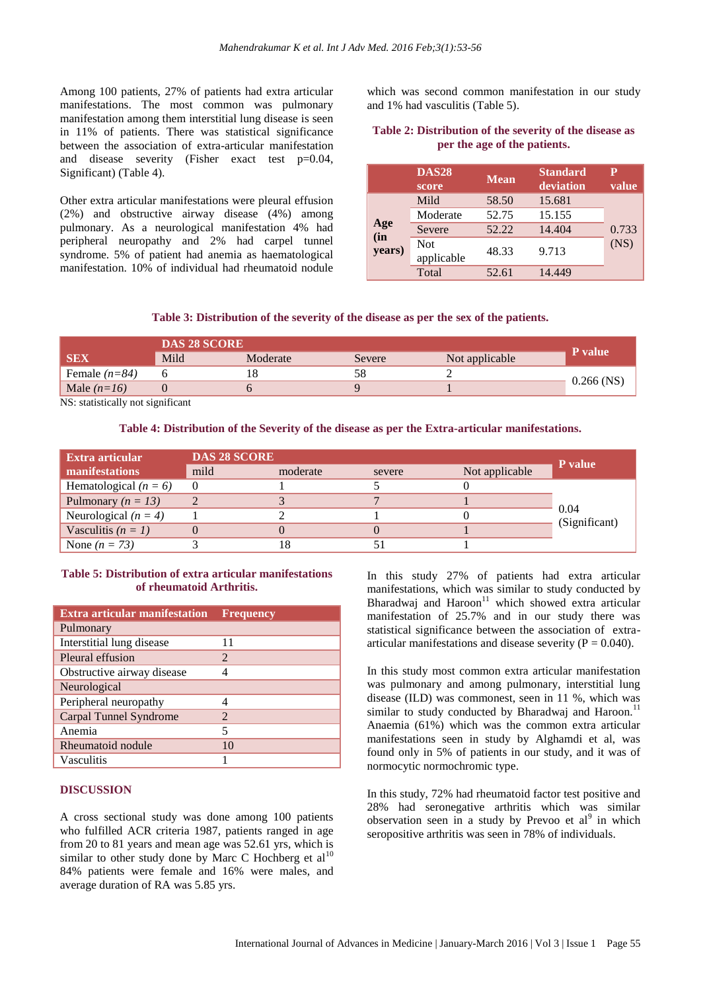Among 100 patients, 27% of patients had extra articular manifestations. The most common was pulmonary manifestation among them interstitial lung disease is seen in 11% of patients. There was statistical significance between the association of extra-articular manifestation and disease severity (Fisher exact test p=0.04, Significant) (Table 4).

Other extra articular manifestations were pleural effusion (2%) and obstructive airway disease (4%) among pulmonary. As a neurological manifestation 4% had peripheral neuropathy and 2% had carpel tunnel syndrome. 5% of patient had anemia as haematological manifestation. 10% of individual had rheumatoid nodule

which was second common manifestation in our study and 1% had vasculitis (Table 5).

### **Table 2: Distribution of the severity of the disease as per the age of the patients.**

|                      | <b>DAS28</b><br>score    | <b>Mean</b> | <b>Standard</b><br>deviation | P<br>value |
|----------------------|--------------------------|-------------|------------------------------|------------|
|                      | Mild                     | 58.50       | 15.681                       |            |
| Age<br>(in<br>years) | Moderate                 | 52.75       | 15.155                       |            |
|                      | Severe                   | 52.22       | 14.404                       | 0.733      |
|                      | <b>Not</b><br>applicable | 48.33       | 9.713                        | (NS)       |
|                      | Total                    | 52.61       | 14.449                       |            |

### **Table 3: Distribution of the severity of the disease as per the sex of the patients.**

|                 | <b>DAS 28 SCORE</b> |          |        |                |                |
|-----------------|---------------------|----------|--------|----------------|----------------|
| <b>SEX</b>      | Mild                | Moderate | Severe | Not applicable | <b>P</b> value |
| Female $(n=84)$ |                     |          |        |                |                |
| Male $(n=16)$   |                     |          |        |                | $0.266$ (NS)   |

NS: statistically not significant

**Table 4: Distribution of the Severity of the disease as per the Extra-articular manifestations.**

| Extra articular         | <b>DAS 28 SCORE</b> |          |        | P value        |                       |
|-------------------------|---------------------|----------|--------|----------------|-----------------------|
| manifestations          | mild                | moderate | severe | Not applicable |                       |
| Hematological $(n = 6)$ |                     |          |        |                |                       |
| Pulmonary ( $n = 13$ )  |                     |          |        |                | 0.04<br>(Significant) |
| Neurological $(n = 4)$  |                     |          |        |                |                       |
| Vasculitis $(n = 1)$    |                     |          |        |                |                       |
| None $(n = 73)$         |                     |          |        |                |                       |

### **Table 5: Distribution of extra articular manifestations of rheumatoid Arthritis.**

| <b>Extra articular manifestation</b> | <b>Frequency</b>            |
|--------------------------------------|-----------------------------|
| Pulmonary                            |                             |
| Interstitial lung disease            | 11                          |
| Pleural effusion                     | $\mathcal{D}_{\mathcal{L}}$ |
| Obstructive airway disease           |                             |
| Neurological                         |                             |
| Peripheral neuropathy                |                             |
| Carpal Tunnel Syndrome               | 2                           |
| Anemia                               | 5                           |
| Rheumatoid nodule                    | 10                          |
| Vasculitis                           |                             |

#### **DISCUSSION**

A cross sectional study was done among 100 patients who fulfilled ACR criteria 1987, patients ranged in age from 20 to 81 years and mean age was 52.61 yrs, which is similar to other study done by Marc C Hochberg et  $al^{10}$ 84% patients were female and 16% were males, and average duration of RA was 5.85 yrs.

In this study 27% of patients had extra articular manifestations, which was similar to study conducted by Bharadwaj and  $\text{Haroon}^{11}$  which showed extra articular manifestation of 25.7% and in our study there was statistical significance between the association of extraarticular manifestations and disease severity ( $P = 0.040$ ).

In this study most common extra articular manifestation was pulmonary and among pulmonary, interstitial lung disease (ILD) was commonest, seen in 11 %, which was similar to study conducted by Bharadwaj and Haroon.<sup>11</sup> Anaemia (61%) which was the common extra articular manifestations seen in study by Alghamdi et al, was found only in 5% of patients in our study, and it was of normocytic normochromic type.

In this study, 72% had rheumatoid factor test positive and 28% had seronegative arthritis which was similar observation seen in a study by Prevoo et  $al^9$  in which seropositive arthritis was seen in 78% of individuals.